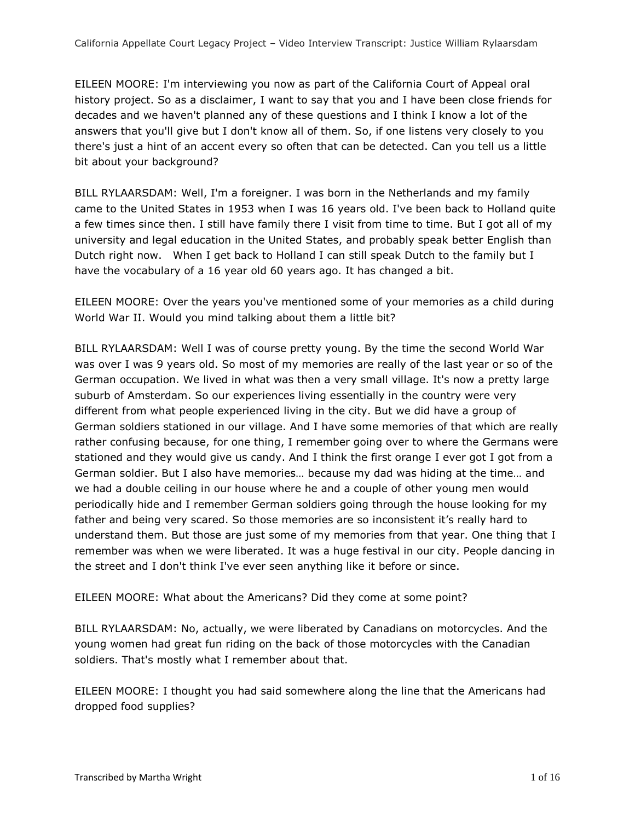EILEEN MOORE: I'm interviewing you now as part of the California Court of Appeal oral history project. So as a disclaimer, I want to say that you and I have been close friends for decades and we haven't planned any of these questions and I think I know a lot of the answers that you'll give but I don't know all of them. So, if one listens very closely to you there's just a hint of an accent every so often that can be detected. Can you tell us a little bit about your background?

BILL RYLAARSDAM: Well, I'm a foreigner. I was born in the Netherlands and my family came to the United States in 1953 when I was 16 years old. I've been back to Holland quite a few times since then. I still have family there I visit from time to time. But I got all of my university and legal education in the United States, and probably speak better English than Dutch right now. When I get back to Holland I can still speak Dutch to the family but I have the vocabulary of a 16 year old 60 years ago. It has changed a bit.

EILEEN MOORE: Over the years you've mentioned some of your memories as a child during World War II. Would you mind talking about them a little bit?

BILL RYLAARSDAM: Well I was of course pretty young. By the time the second World War was over I was 9 years old. So most of my memories are really of the last year or so of the German occupation. We lived in what was then a very small village. It's now a pretty large suburb of Amsterdam. So our experiences living essentially in the country were very different from what people experienced living in the city. But we did have a group of German soldiers stationed in our village. And I have some memories of that which are really rather confusing because, for one thing, I remember going over to where the Germans were stationed and they would give us candy. And I think the first orange I ever got I got from a German soldier. But I also have memories… because my dad was hiding at the time… and we had a double ceiling in our house where he and a couple of other young men would periodically hide and I remember German soldiers going through the house looking for my father and being very scared. So those memories are so inconsistent it's really hard to understand them. But those are just some of my memories from that year. One thing that I remember was when we were liberated. It was a huge festival in our city. People dancing in the street and I don't think I've ever seen anything like it before or since.

EILEEN MOORE: What about the Americans? Did they come at some point?

BILL RYLAARSDAM: No, actually, we were liberated by Canadians on motorcycles. And the young women had great fun riding on the back of those motorcycles with the Canadian soldiers. That's mostly what I remember about that.

EILEEN MOORE: I thought you had said somewhere along the line that the Americans had dropped food supplies?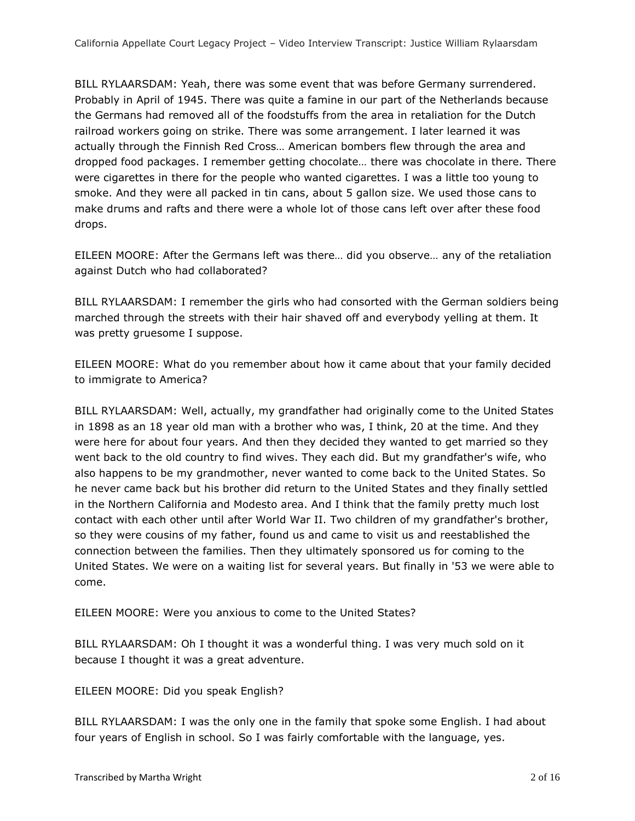BILL RYLAARSDAM: Yeah, there was some event that was before Germany surrendered. Probably in April of 1945. There was quite a famine in our part of the Netherlands because the Germans had removed all of the foodstuffs from the area in retaliation for the Dutch railroad workers going on strike. There was some arrangement. I later learned it was actually through the Finnish Red Cross… American bombers flew through the area and dropped food packages. I remember getting chocolate… there was chocolate in there. There were cigarettes in there for the people who wanted cigarettes. I was a little too young to smoke. And they were all packed in tin cans, about 5 gallon size. We used those cans to make drums and rafts and there were a whole lot of those cans left over after these food drops.

EILEEN MOORE: After the Germans left was there… did you observe… any of the retaliation against Dutch who had collaborated?

BILL RYLAARSDAM: I remember the girls who had consorted with the German soldiers being marched through the streets with their hair shaved off and everybody yelling at them. It was pretty gruesome I suppose.

EILEEN MOORE: What do you remember about how it came about that your family decided to immigrate to America?

BILL RYLAARSDAM: Well, actually, my grandfather had originally come to the United States in 1898 as an 18 year old man with a brother who was, I think, 20 at the time. And they were here for about four years. And then they decided they wanted to get married so they went back to the old country to find wives. They each did. But my grandfather's wife, who also happens to be my grandmother, never wanted to come back to the United States. So he never came back but his brother did return to the United States and they finally settled in the Northern California and Modesto area. And I think that the family pretty much lost contact with each other until after World War II. Two children of my grandfather's brother, so they were cousins of my father, found us and came to visit us and reestablished the connection between the families. Then they ultimately sponsored us for coming to the United States. We were on a waiting list for several years. But finally in '53 we were able to come.

EILEEN MOORE: Were you anxious to come to the United States?

BILL RYLAARSDAM: Oh I thought it was a wonderful thing. I was very much sold on it because I thought it was a great adventure.

EILEEN MOORE: Did you speak English?

BILL RYLAARSDAM: I was the only one in the family that spoke some English. I had about four years of English in school. So I was fairly comfortable with the language, yes.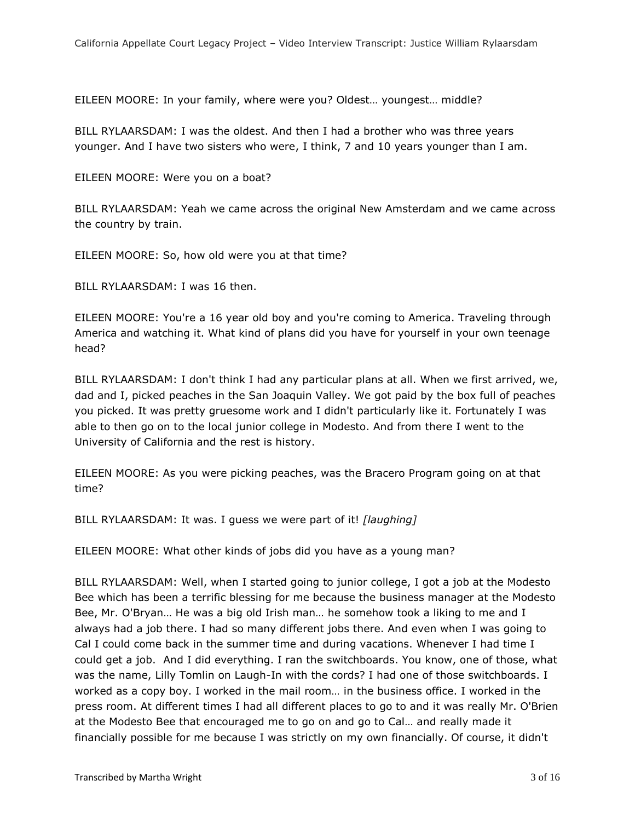EILEEN MOORE: In your family, where were you? Oldest… youngest… middle?

BILL RYLAARSDAM: I was the oldest. And then I had a brother who was three years younger. And I have two sisters who were, I think, 7 and 10 years younger than I am.

EILEEN MOORE: Were you on a boat?

BILL RYLAARSDAM: Yeah we came across the original New Amsterdam and we came across the country by train.

EILEEN MOORE: So, how old were you at that time?

BILL RYLAARSDAM: I was 16 then.

EILEEN MOORE: You're a 16 year old boy and you're coming to America. Traveling through America and watching it. What kind of plans did you have for yourself in your own teenage head?

BILL RYLAARSDAM: I don't think I had any particular plans at all. When we first arrived, we, dad and I, picked peaches in the San Joaquin Valley. We got paid by the box full of peaches you picked. It was pretty gruesome work and I didn't particularly like it. Fortunately I was able to then go on to the local junior college in Modesto. And from there I went to the University of California and the rest is history.

EILEEN MOORE: As you were picking peaches, was the Bracero Program going on at that time?

BILL RYLAARSDAM: It was. I guess we were part of it! *[laughing]*

EILEEN MOORE: What other kinds of jobs did you have as a young man?

BILL RYLAARSDAM: Well, when I started going to junior college, I got a job at the Modesto Bee which has been a terrific blessing for me because the business manager at the Modesto Bee, Mr. O'Bryan… He was a big old Irish man… he somehow took a liking to me and I always had a job there. I had so many different jobs there. And even when I was going to Cal I could come back in the summer time and during vacations. Whenever I had time I could get a job. And I did everything. I ran the switchboards. You know, one of those, what was the name, Lilly Tomlin on Laugh-In with the cords? I had one of those switchboards. I worked as a copy boy. I worked in the mail room… in the business office. I worked in the press room. At different times I had all different places to go to and it was really Mr. O'Brien at the Modesto Bee that encouraged me to go on and go to Cal… and really made it financially possible for me because I was strictly on my own financially. Of course, it didn't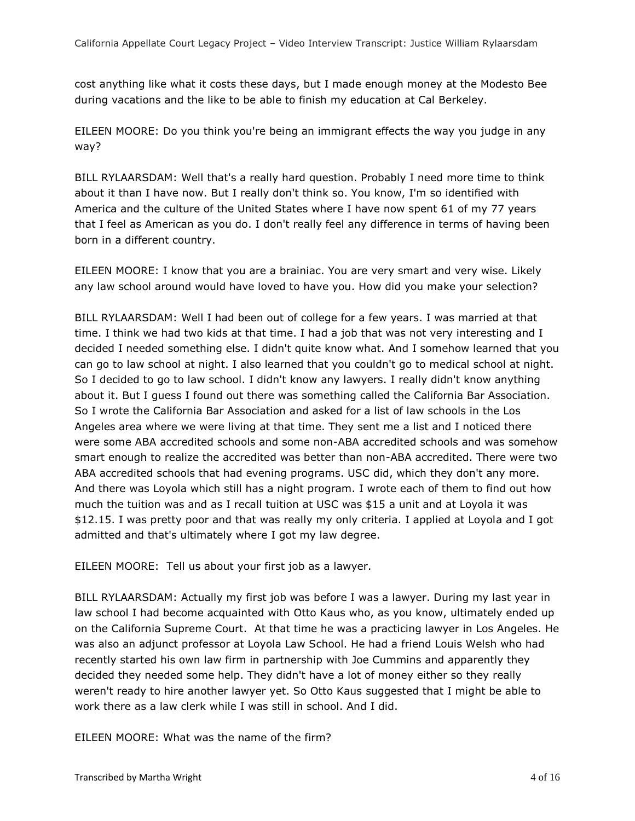cost anything like what it costs these days, but I made enough money at the Modesto Bee during vacations and the like to be able to finish my education at Cal Berkeley.

EILEEN MOORE: Do you think you're being an immigrant effects the way you judge in any way?

BILL RYLAARSDAM: Well that's a really hard question. Probably I need more time to think about it than I have now. But I really don't think so. You know, I'm so identified with America and the culture of the United States where I have now spent 61 of my 77 years that I feel as American as you do. I don't really feel any difference in terms of having been born in a different country.

EILEEN MOORE: I know that you are a brainiac. You are very smart and very wise. Likely any law school around would have loved to have you. How did you make your selection?

BILL RYLAARSDAM: Well I had been out of college for a few years. I was married at that time. I think we had two kids at that time. I had a job that was not very interesting and I decided I needed something else. I didn't quite know what. And I somehow learned that you can go to law school at night. I also learned that you couldn't go to medical school at night. So I decided to go to law school. I didn't know any lawyers. I really didn't know anything about it. But I guess I found out there was something called the California Bar Association. So I wrote the California Bar Association and asked for a list of law schools in the Los Angeles area where we were living at that time. They sent me a list and I noticed there were some ABA accredited schools and some non-ABA accredited schools and was somehow smart enough to realize the accredited was better than non-ABA accredited. There were two ABA accredited schools that had evening programs. USC did, which they don't any more. And there was Loyola which still has a night program. I wrote each of them to find out how much the tuition was and as I recall tuition at USC was \$15 a unit and at Loyola it was \$12.15. I was pretty poor and that was really my only criteria. I applied at Loyola and I got admitted and that's ultimately where I got my law degree.

EILEEN MOORE: Tell us about your first job as a lawyer.

BILL RYLAARSDAM: Actually my first job was before I was a lawyer. During my last year in law school I had become acquainted with Otto Kaus who, as you know, ultimately ended up on the California Supreme Court. At that time he was a practicing lawyer in Los Angeles. He was also an adjunct professor at Loyola Law School. He had a friend Louis Welsh who had recently started his own law firm in partnership with Joe Cummins and apparently they decided they needed some help. They didn't have a lot of money either so they really weren't ready to hire another lawyer yet. So Otto Kaus suggested that I might be able to work there as a law clerk while I was still in school. And I did.

EILEEN MOORE: What was the name of the firm?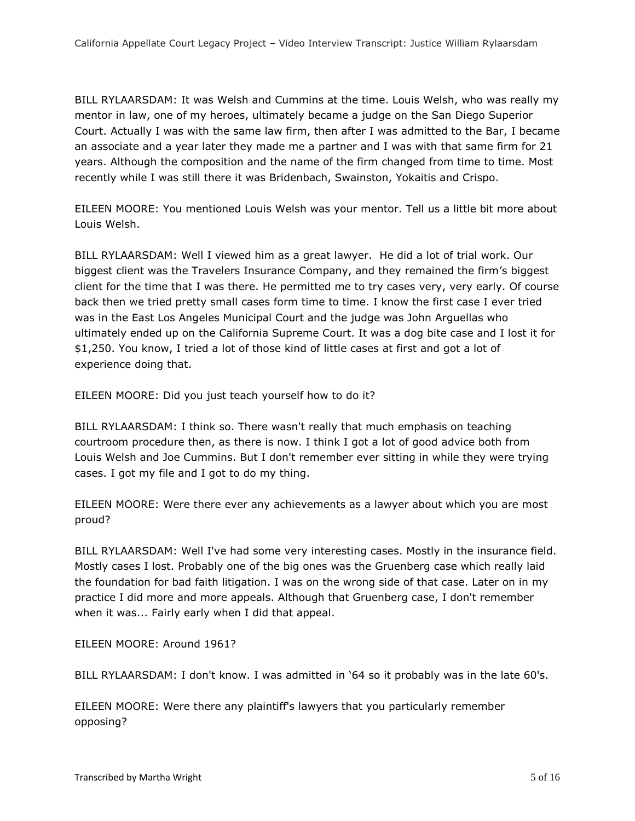BILL RYLAARSDAM: It was Welsh and Cummins at the time. Louis Welsh, who was really my mentor in law, one of my heroes, ultimately became a judge on the San Diego Superior Court. Actually I was with the same law firm, then after I was admitted to the Bar, I became an associate and a year later they made me a partner and I was with that same firm for 21 years. Although the composition and the name of the firm changed from time to time. Most recently while I was still there it was Bridenbach, Swainston, Yokaitis and Crispo.

EILEEN MOORE: You mentioned Louis Welsh was your mentor. Tell us a little bit more about Louis Welsh.

BILL RYLAARSDAM: Well I viewed him as a great lawyer. He did a lot of trial work. Our biggest client was the Travelers Insurance Company, and they remained the firm's biggest client for the time that I was there. He permitted me to try cases very, very early. Of course back then we tried pretty small cases form time to time. I know the first case I ever tried was in the East Los Angeles Municipal Court and the judge was John Arguellas who ultimately ended up on the California Supreme Court. It was a dog bite case and I lost it for \$1,250. You know, I tried a lot of those kind of little cases at first and got a lot of experience doing that.

EILEEN MOORE: Did you just teach yourself how to do it?

BILL RYLAARSDAM: I think so. There wasn't really that much emphasis on teaching courtroom procedure then, as there is now. I think I got a lot of good advice both from Louis Welsh and Joe Cummins. But I don't remember ever sitting in while they were trying cases. I got my file and I got to do my thing.

EILEEN MOORE: Were there ever any achievements as a lawyer about which you are most proud?

BILL RYLAARSDAM: Well I've had some very interesting cases. Mostly in the insurance field. Mostly cases I lost. Probably one of the big ones was the Gruenberg case which really laid the foundation for bad faith litigation. I was on the wrong side of that case. Later on in my practice I did more and more appeals. Although that Gruenberg case, I don't remember when it was... Fairly early when I did that appeal.

EILEEN MOORE: Around 1961?

BILL RYLAARSDAM: I don't know. I was admitted in '64 so it probably was in the late 60's.

EILEEN MOORE: Were there any plaintiff's lawyers that you particularly remember opposing?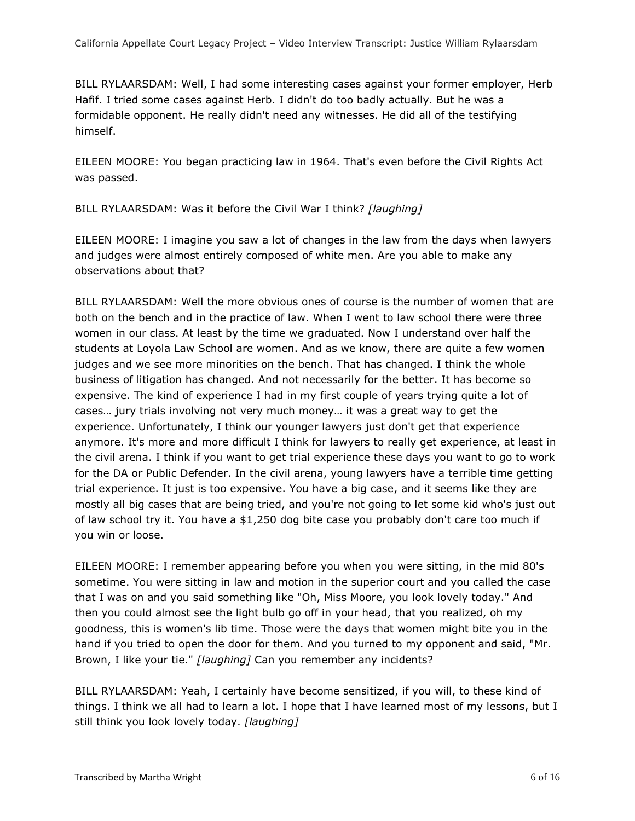BILL RYLAARSDAM: Well, I had some interesting cases against your former employer, Herb Hafif. I tried some cases against Herb. I didn't do too badly actually. But he was a formidable opponent. He really didn't need any witnesses. He did all of the testifying himself.

EILEEN MOORE: You began practicing law in 1964. That's even before the Civil Rights Act was passed.

BILL RYLAARSDAM: Was it before the Civil War I think? *[laughing]*

EILEEN MOORE: I imagine you saw a lot of changes in the law from the days when lawyers and judges were almost entirely composed of white men. Are you able to make any observations about that?

BILL RYLAARSDAM: Well the more obvious ones of course is the number of women that are both on the bench and in the practice of law. When I went to law school there were three women in our class. At least by the time we graduated. Now I understand over half the students at Loyola Law School are women. And as we know, there are quite a few women judges and we see more minorities on the bench. That has changed. I think the whole business of litigation has changed. And not necessarily for the better. It has become so expensive. The kind of experience I had in my first couple of years trying quite a lot of cases… jury trials involving not very much money… it was a great way to get the experience. Unfortunately, I think our younger lawyers just don't get that experience anymore. It's more and more difficult I think for lawyers to really get experience, at least in the civil arena. I think if you want to get trial experience these days you want to go to work for the DA or Public Defender. In the civil arena, young lawyers have a terrible time getting trial experience. It just is too expensive. You have a big case, and it seems like they are mostly all big cases that are being tried, and you're not going to let some kid who's just out of law school try it. You have a \$1,250 dog bite case you probably don't care too much if you win or loose.

EILEEN MOORE: I remember appearing before you when you were sitting, in the mid 80's sometime. You were sitting in law and motion in the superior court and you called the case that I was on and you said something like "Oh, Miss Moore, you look lovely today." And then you could almost see the light bulb go off in your head, that you realized, oh my goodness, this is women's lib time. Those were the days that women might bite you in the hand if you tried to open the door for them. And you turned to my opponent and said, "Mr. Brown, I like your tie." *[laughing]* Can you remember any incidents?

BILL RYLAARSDAM: Yeah, I certainly have become sensitized, if you will, to these kind of things. I think we all had to learn a lot. I hope that I have learned most of my lessons, but I still think you look lovely today. *[laughing]*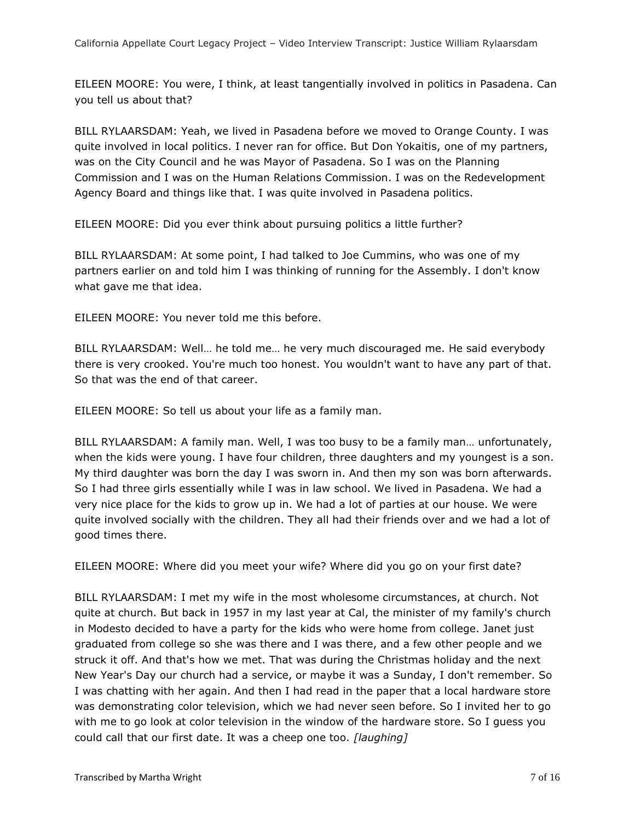EILEEN MOORE: You were, I think, at least tangentially involved in politics in Pasadena. Can you tell us about that?

BILL RYLAARSDAM: Yeah, we lived in Pasadena before we moved to Orange County. I was quite involved in local politics. I never ran for office. But Don Yokaitis, one of my partners, was on the City Council and he was Mayor of Pasadena. So I was on the Planning Commission and I was on the Human Relations Commission. I was on the Redevelopment Agency Board and things like that. I was quite involved in Pasadena politics.

EILEEN MOORE: Did you ever think about pursuing politics a little further?

BILL RYLAARSDAM: At some point, I had talked to Joe Cummins, who was one of my partners earlier on and told him I was thinking of running for the Assembly. I don't know what gave me that idea.

EILEEN MOORE: You never told me this before.

BILL RYLAARSDAM: Well… he told me… he very much discouraged me. He said everybody there is very crooked. You're much too honest. You wouldn't want to have any part of that. So that was the end of that career.

EILEEN MOORE: So tell us about your life as a family man.

BILL RYLAARSDAM: A family man. Well, I was too busy to be a family man… unfortunately, when the kids were young. I have four children, three daughters and my youngest is a son. My third daughter was born the day I was sworn in. And then my son was born afterwards. So I had three girls essentially while I was in law school. We lived in Pasadena. We had a very nice place for the kids to grow up in. We had a lot of parties at our house. We were quite involved socially with the children. They all had their friends over and we had a lot of good times there.

EILEEN MOORE: Where did you meet your wife? Where did you go on your first date?

BILL RYLAARSDAM: I met my wife in the most wholesome circumstances, at church. Not quite at church. But back in 1957 in my last year at Cal, the minister of my family's church in Modesto decided to have a party for the kids who were home from college. Janet just graduated from college so she was there and I was there, and a few other people and we struck it off. And that's how we met. That was during the Christmas holiday and the next New Year's Day our church had a service, or maybe it was a Sunday, I don't remember. So I was chatting with her again. And then I had read in the paper that a local hardware store was demonstrating color television, which we had never seen before. So I invited her to go with me to go look at color television in the window of the hardware store. So I guess you could call that our first date. It was a cheep one too. *[laughing]*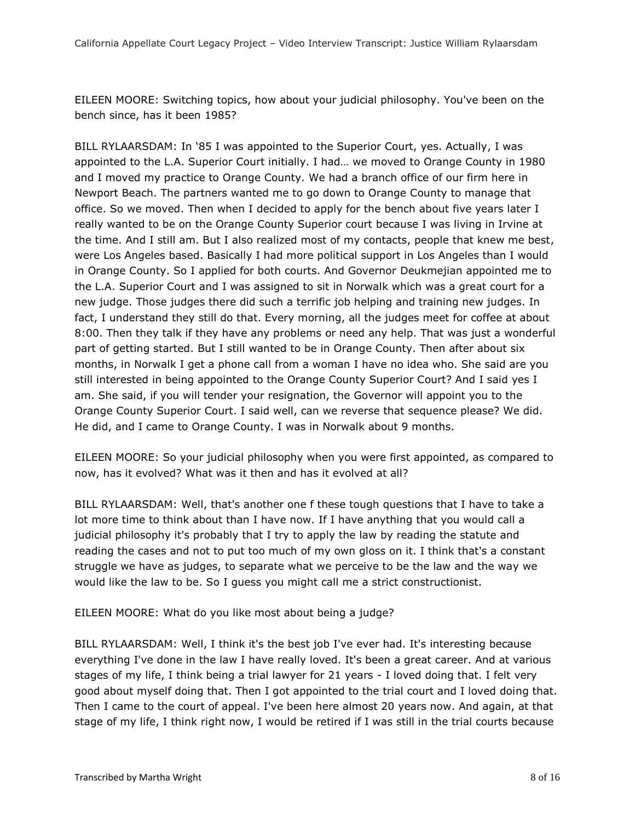EILEEN MOORE: Switching topics, how about your judicial philosophy. You've been on the bench since, has it been 1985?

BILL RYLAARSDAM: In '85 I was appointed to the Superior Court, yes. Actually, I was appointed to the L.A. Superior Court initially. I had… we moved to Orange County in 1980 and I moved my practice to Orange County. We had a branch office of our firm here in Newport Beach. The partners wanted me to go down to Orange County to manage that office. So we moved. Then when I decided to apply for the bench about five years later I really wanted to be on the Orange County Superior court because I was living in Irvine at the time. And I still am. But I also realized most of my contacts, people that knew me best, were Los Angeles based. Basically I had more political support in Los Angeles than I would in Orange County. So I applied for both courts. And Governor Deukmejian appointed me to the L.A. Superior Court and I was assigned to sit in Norwalk which was a great court for a new judge. Those judges there did such a terrific job helping and training new judges. In fact, I understand they still do that. Every morning, all the judges meet for coffee at about 8:00. Then they talk if they have any problems or need any help. That was just a wonderful part of getting started. But I still wanted to be in Orange County. Then after about six months, in Norwalk I get a phone call from a woman I have no idea who. She said are you still interested in being appointed to the Orange County Superior Court? And I said yes I am. She said, if you will tender your resignation, the Governor will appoint you to the Orange County Superior Court. I said well, can we reverse that sequence please? We did. He did, and I came to Orange County. I was in Norwalk about 9 months.

EILEEN MOORE: So your judicial philosophy when you were first appointed, as compared to now, has it evolved? What was it then and has it evolved at all?

BILL RYLAARSDAM: Well, that's another one f these tough questions that I have to take a lot more time to think about than I have now. If I have anything that you would call a judicial philosophy it's probably that I try to apply the law by reading the statute and reading the cases and not to put too much of my own gloss on it. I think that's a constant struggle we have as judges, to separate what we perceive to be the law and the way we would like the law to be. So I guess you might call me a strict constructionist.

EILEEN MOORE: What do you like most about being a judge?

BILL RYLAARSDAM: Well, I think it's the best job I've ever had. It's interesting because everything I've done in the law I have really loved. It's been a great career. And at various stages of my life, I think being a trial lawyer for 21 years - I loved doing that. I felt very good about myself doing that. Then I got appointed to the trial court and I loved doing that. Then I came to the court of appeal. I've been here almost 20 years now. And again, at that stage of my life, I think right now, I would be retired if I was still in the trial courts because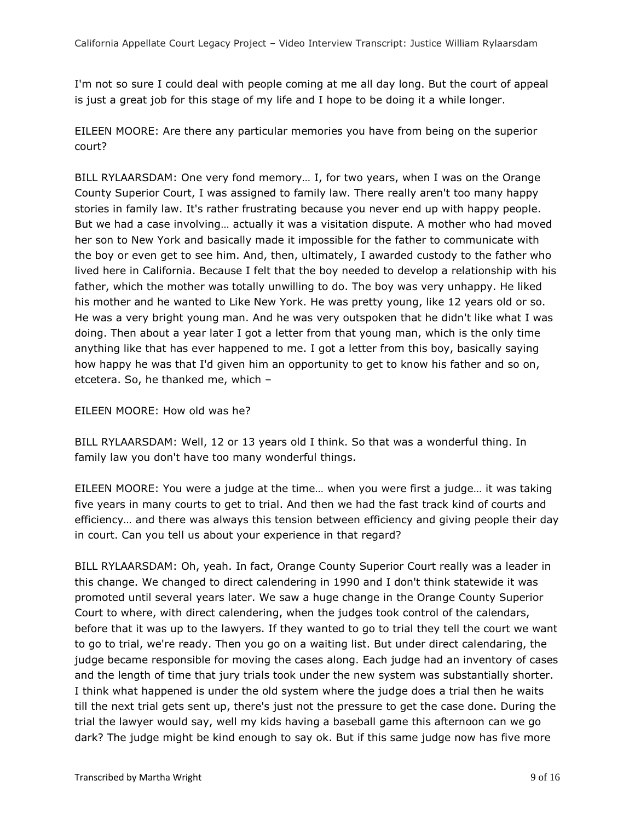I'm not so sure I could deal with people coming at me all day long. But the court of appeal is just a great job for this stage of my life and I hope to be doing it a while longer.

EILEEN MOORE: Are there any particular memories you have from being on the superior court?

BILL RYLAARSDAM: One very fond memory… I, for two years, when I was on the Orange County Superior Court, I was assigned to family law. There really aren't too many happy stories in family law. It's rather frustrating because you never end up with happy people. But we had a case involving… actually it was a visitation dispute. A mother who had moved her son to New York and basically made it impossible for the father to communicate with the boy or even get to see him. And, then, ultimately, I awarded custody to the father who lived here in California. Because I felt that the boy needed to develop a relationship with his father, which the mother was totally unwilling to do. The boy was very unhappy. He liked his mother and he wanted to Like New York. He was pretty young, like 12 years old or so. He was a very bright young man. And he was very outspoken that he didn't like what I was doing. Then about a year later I got a letter from that young man, which is the only time anything like that has ever happened to me. I got a letter from this boy, basically saying how happy he was that I'd given him an opportunity to get to know his father and so on, etcetera. So, he thanked me, which –

## EILEEN MOORE: How old was he?

BILL RYLAARSDAM: Well, 12 or 13 years old I think. So that was a wonderful thing. In family law you don't have too many wonderful things.

EILEEN MOORE: You were a judge at the time… when you were first a judge… it was taking five years in many courts to get to trial. And then we had the fast track kind of courts and efficiency… and there was always this tension between efficiency and giving people their day in court. Can you tell us about your experience in that regard?

BILL RYLAARSDAM: Oh, yeah. In fact, Orange County Superior Court really was a leader in this change. We changed to direct calendering in 1990 and I don't think statewide it was promoted until several years later. We saw a huge change in the Orange County Superior Court to where, with direct calendering, when the judges took control of the calendars, before that it was up to the lawyers. If they wanted to go to trial they tell the court we want to go to trial, we're ready. Then you go on a waiting list. But under direct calendaring, the judge became responsible for moving the cases along. Each judge had an inventory of cases and the length of time that jury trials took under the new system was substantially shorter. I think what happened is under the old system where the judge does a trial then he waits till the next trial gets sent up, there's just not the pressure to get the case done. During the trial the lawyer would say, well my kids having a baseball game this afternoon can we go dark? The judge might be kind enough to say ok. But if this same judge now has five more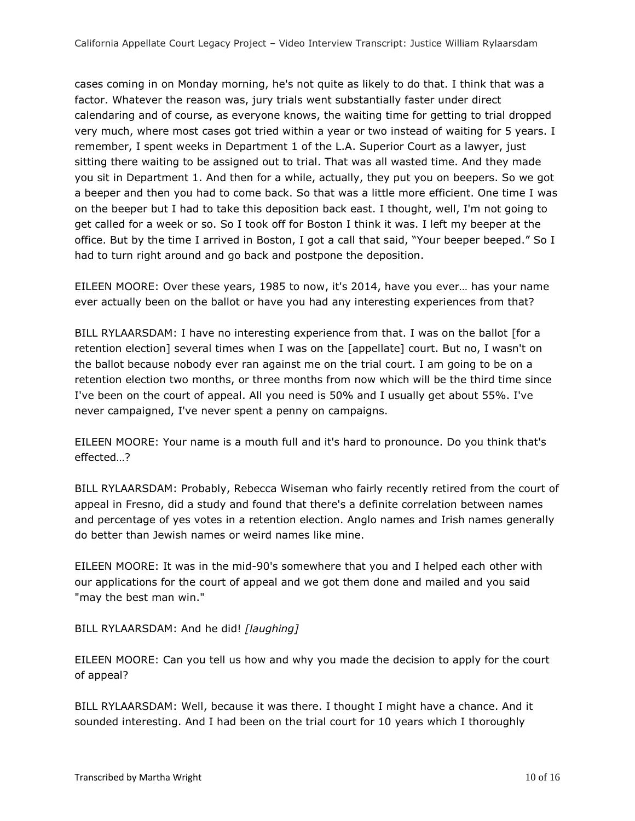cases coming in on Monday morning, he's not quite as likely to do that. I think that was a factor. Whatever the reason was, jury trials went substantially faster under direct calendaring and of course, as everyone knows, the waiting time for getting to trial dropped very much, where most cases got tried within a year or two instead of waiting for 5 years. I remember, I spent weeks in Department 1 of the L.A. Superior Court as a lawyer, just sitting there waiting to be assigned out to trial. That was all wasted time. And they made you sit in Department 1. And then for a while, actually, they put you on beepers. So we got a beeper and then you had to come back. So that was a little more efficient. One time I was on the beeper but I had to take this deposition back east. I thought, well, I'm not going to get called for a week or so. So I took off for Boston I think it was. I left my beeper at the office. But by the time I arrived in Boston, I got a call that said, "Your beeper beeped." So I had to turn right around and go back and postpone the deposition.

EILEEN MOORE: Over these years, 1985 to now, it's 2014, have you ever… has your name ever actually been on the ballot or have you had any interesting experiences from that?

BILL RYLAARSDAM: I have no interesting experience from that. I was on the ballot [for a retention election] several times when I was on the [appellate] court. But no, I wasn't on the ballot because nobody ever ran against me on the trial court. I am going to be on a retention election two months, or three months from now which will be the third time since I've been on the court of appeal. All you need is 50% and I usually get about 55%. I've never campaigned, I've never spent a penny on campaigns.

EILEEN MOORE: Your name is a mouth full and it's hard to pronounce. Do you think that's effected…?

BILL RYLAARSDAM: Probably, Rebecca Wiseman who fairly recently retired from the court of appeal in Fresno, did a study and found that there's a definite correlation between names and percentage of yes votes in a retention election. Anglo names and Irish names generally do better than Jewish names or weird names like mine.

EILEEN MOORE: It was in the mid-90's somewhere that you and I helped each other with our applications for the court of appeal and we got them done and mailed and you said "may the best man win."

BILL RYLAARSDAM: And he did! *[laughing]*

EILEEN MOORE: Can you tell us how and why you made the decision to apply for the court of appeal?

BILL RYLAARSDAM: Well, because it was there. I thought I might have a chance. And it sounded interesting. And I had been on the trial court for 10 years which I thoroughly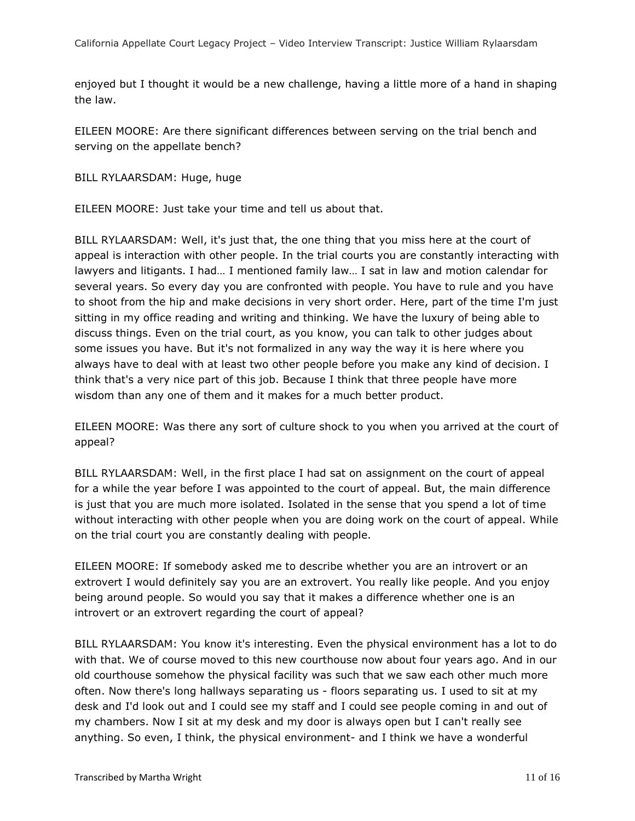enjoyed but I thought it would be a new challenge, having a little more of a hand in shaping the law.

EILEEN MOORE: Are there significant differences between serving on the trial bench and serving on the appellate bench?

BILL RYLAARSDAM: Huge, huge

EILEEN MOORE: Just take your time and tell us about that.

BILL RYLAARSDAM: Well, it's just that, the one thing that you miss here at the court of appeal is interaction with other people. In the trial courts you are constantly interacting with lawyers and litigants. I had… I mentioned family law… I sat in law and motion calendar for several years. So every day you are confronted with people. You have to rule and you have to shoot from the hip and make decisions in very short order. Here, part of the time I'm just sitting in my office reading and writing and thinking. We have the luxury of being able to discuss things. Even on the trial court, as you know, you can talk to other judges about some issues you have. But it's not formalized in any way the way it is here where you always have to deal with at least two other people before you make any kind of decision. I think that's a very nice part of this job. Because I think that three people have more wisdom than any one of them and it makes for a much better product.

EILEEN MOORE: Was there any sort of culture shock to you when you arrived at the court of appeal?

BILL RYLAARSDAM: Well, in the first place I had sat on assignment on the court of appeal for a while the year before I was appointed to the court of appeal. But, the main difference is just that you are much more isolated. Isolated in the sense that you spend a lot of time without interacting with other people when you are doing work on the court of appeal. While on the trial court you are constantly dealing with people.

EILEEN MOORE: If somebody asked me to describe whether you are an introvert or an extrovert I would definitely say you are an extrovert. You really like people. And you enjoy being around people. So would you say that it makes a difference whether one is an introvert or an extrovert regarding the court of appeal?

BILL RYLAARSDAM: You know it's interesting. Even the physical environment has a lot to do with that. We of course moved to this new courthouse now about four years ago. And in our old courthouse somehow the physical facility was such that we saw each other much more often. Now there's long hallways separating us - floors separating us. I used to sit at my desk and I'd look out and I could see my staff and I could see people coming in and out of my chambers. Now I sit at my desk and my door is always open but I can't really see anything. So even, I think, the physical environment- and I think we have a wonderful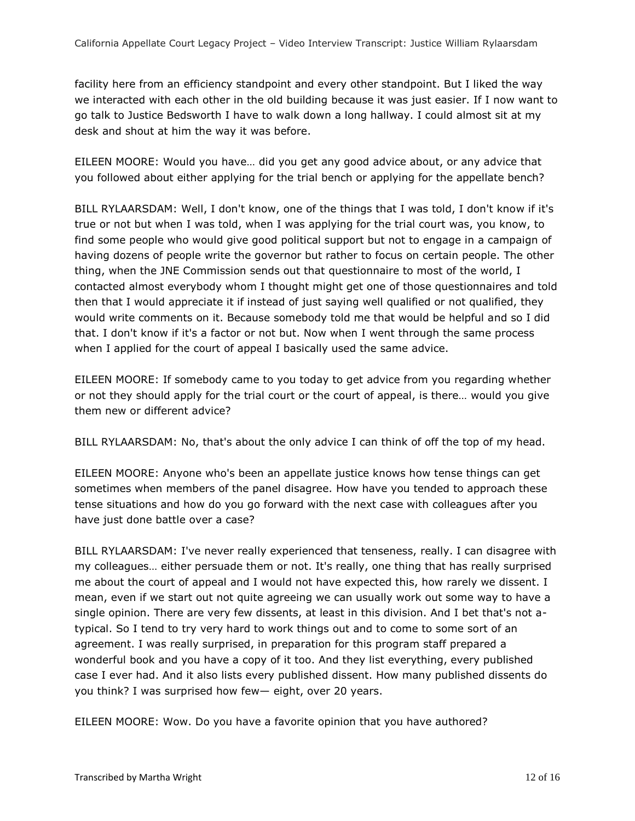facility here from an efficiency standpoint and every other standpoint. But I liked the way we interacted with each other in the old building because it was just easier. If I now want to go talk to Justice Bedsworth I have to walk down a long hallway. I could almost sit at my desk and shout at him the way it was before.

EILEEN MOORE: Would you have… did you get any good advice about, or any advice that you followed about either applying for the trial bench or applying for the appellate bench?

BILL RYLAARSDAM: Well, I don't know, one of the things that I was told, I don't know if it's true or not but when I was told, when I was applying for the trial court was, you know, to find some people who would give good political support but not to engage in a campaign of having dozens of people write the governor but rather to focus on certain people. The other thing, when the JNE Commission sends out that questionnaire to most of the world, I contacted almost everybody whom I thought might get one of those questionnaires and told then that I would appreciate it if instead of just saying well qualified or not qualified, they would write comments on it. Because somebody told me that would be helpful and so I did that. I don't know if it's a factor or not but. Now when I went through the same process when I applied for the court of appeal I basically used the same advice.

EILEEN MOORE: If somebody came to you today to get advice from you regarding whether or not they should apply for the trial court or the court of appeal, is there… would you give them new or different advice?

BILL RYLAARSDAM: No, that's about the only advice I can think of off the top of my head.

EILEEN MOORE: Anyone who's been an appellate justice knows how tense things can get sometimes when members of the panel disagree. How have you tended to approach these tense situations and how do you go forward with the next case with colleagues after you have just done battle over a case?

BILL RYLAARSDAM: I've never really experienced that tenseness, really. I can disagree with my colleagues… either persuade them or not. It's really, one thing that has really surprised me about the court of appeal and I would not have expected this, how rarely we dissent. I mean, even if we start out not quite agreeing we can usually work out some way to have a single opinion. There are very few dissents, at least in this division. And I bet that's not atypical. So I tend to try very hard to work things out and to come to some sort of an agreement. I was really surprised, in preparation for this program staff prepared a wonderful book and you have a copy of it too. And they list everything, every published case I ever had. And it also lists every published dissent. How many published dissents do you think? I was surprised how few— eight, over 20 years.

EILEEN MOORE: Wow. Do you have a favorite opinion that you have authored?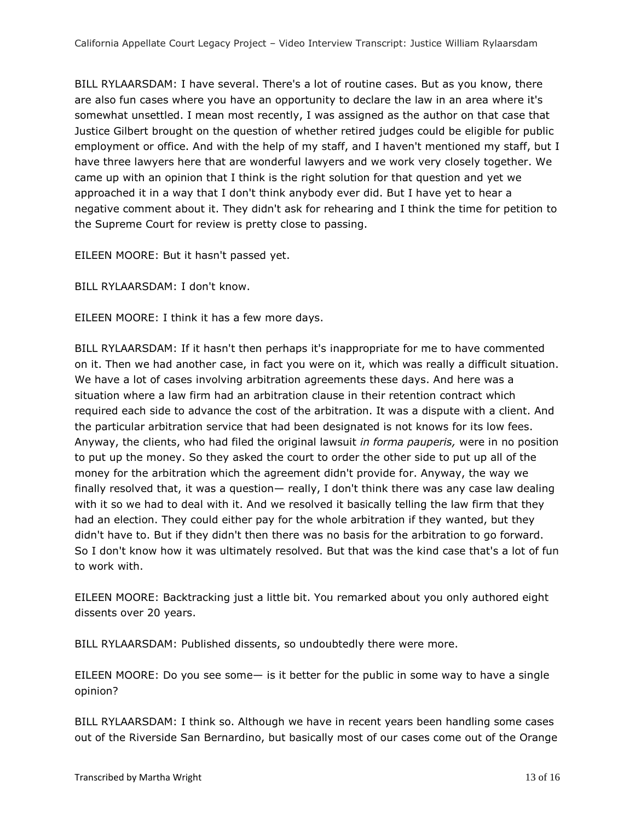BILL RYLAARSDAM: I have several. There's a lot of routine cases. But as you know, there are also fun cases where you have an opportunity to declare the law in an area where it's somewhat unsettled. I mean most recently, I was assigned as the author on that case that Justice Gilbert brought on the question of whether retired judges could be eligible for public employment or office. And with the help of my staff, and I haven't mentioned my staff, but I have three lawyers here that are wonderful lawyers and we work very closely together. We came up with an opinion that I think is the right solution for that question and yet we approached it in a way that I don't think anybody ever did. But I have yet to hear a negative comment about it. They didn't ask for rehearing and I think the time for petition to the Supreme Court for review is pretty close to passing.

EILEEN MOORE: But it hasn't passed yet.

BILL RYLAARSDAM: I don't know.

EILEEN MOORE: I think it has a few more days.

BILL RYLAARSDAM: If it hasn't then perhaps it's inappropriate for me to have commented on it. Then we had another case, in fact you were on it, which was really a difficult situation. We have a lot of cases involving arbitration agreements these days. And here was a situation where a law firm had an arbitration clause in their retention contract which required each side to advance the cost of the arbitration. It was a dispute with a client. And the particular arbitration service that had been designated is not knows for its low fees. Anyway, the clients, who had filed the original lawsuit *in forma pauperis,* were in no position to put up the money. So they asked the court to order the other side to put up all of the money for the arbitration which the agreement didn't provide for. Anyway, the way we finally resolved that, it was a question— really, I don't think there was any case law dealing with it so we had to deal with it. And we resolved it basically telling the law firm that they had an election. They could either pay for the whole arbitration if they wanted, but they didn't have to. But if they didn't then there was no basis for the arbitration to go forward. So I don't know how it was ultimately resolved. But that was the kind case that's a lot of fun to work with.

EILEEN MOORE: Backtracking just a little bit. You remarked about you only authored eight dissents over 20 years.

BILL RYLAARSDAM: Published dissents, so undoubtedly there were more.

EILEEN MOORE: Do you see some— is it better for the public in some way to have a single opinion?

BILL RYLAARSDAM: I think so. Although we have in recent years been handling some cases out of the Riverside San Bernardino, but basically most of our cases come out of the Orange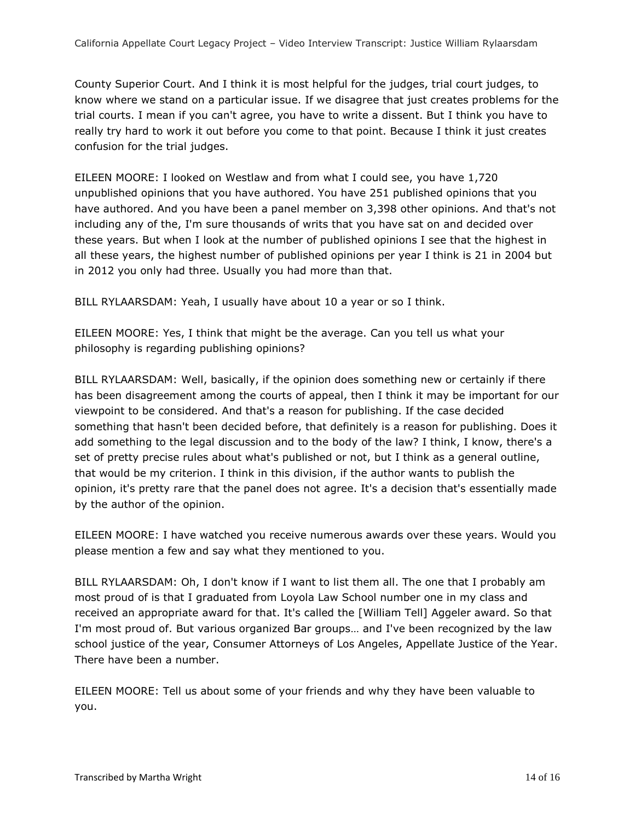County Superior Court. And I think it is most helpful for the judges, trial court judges, to know where we stand on a particular issue. If we disagree that just creates problems for the trial courts. I mean if you can't agree, you have to write a dissent. But I think you have to really try hard to work it out before you come to that point. Because I think it just creates confusion for the trial judges.

EILEEN MOORE: I looked on Westlaw and from what I could see, you have 1,720 unpublished opinions that you have authored. You have 251 published opinions that you have authored. And you have been a panel member on 3,398 other opinions. And that's not including any of the, I'm sure thousands of writs that you have sat on and decided over these years. But when I look at the number of published opinions I see that the highest in all these years, the highest number of published opinions per year I think is 21 in 2004 but in 2012 you only had three. Usually you had more than that.

BILL RYLAARSDAM: Yeah, I usually have about 10 a year or so I think.

EILEEN MOORE: Yes, I think that might be the average. Can you tell us what your philosophy is regarding publishing opinions?

BILL RYLAARSDAM: Well, basically, if the opinion does something new or certainly if there has been disagreement among the courts of appeal, then I think it may be important for our viewpoint to be considered. And that's a reason for publishing. If the case decided something that hasn't been decided before, that definitely is a reason for publishing. Does it add something to the legal discussion and to the body of the law? I think, I know, there's a set of pretty precise rules about what's published or not, but I think as a general outline, that would be my criterion. I think in this division, if the author wants to publish the opinion, it's pretty rare that the panel does not agree. It's a decision that's essentially made by the author of the opinion.

EILEEN MOORE: I have watched you receive numerous awards over these years. Would you please mention a few and say what they mentioned to you.

BILL RYLAARSDAM: Oh, I don't know if I want to list them all. The one that I probably am most proud of is that I graduated from Loyola Law School number one in my class and received an appropriate award for that. It's called the [William Tell] Aggeler award. So that I'm most proud of. But various organized Bar groups… and I've been recognized by the law school justice of the year, Consumer Attorneys of Los Angeles, Appellate Justice of the Year. There have been a number.

EILEEN MOORE: Tell us about some of your friends and why they have been valuable to you.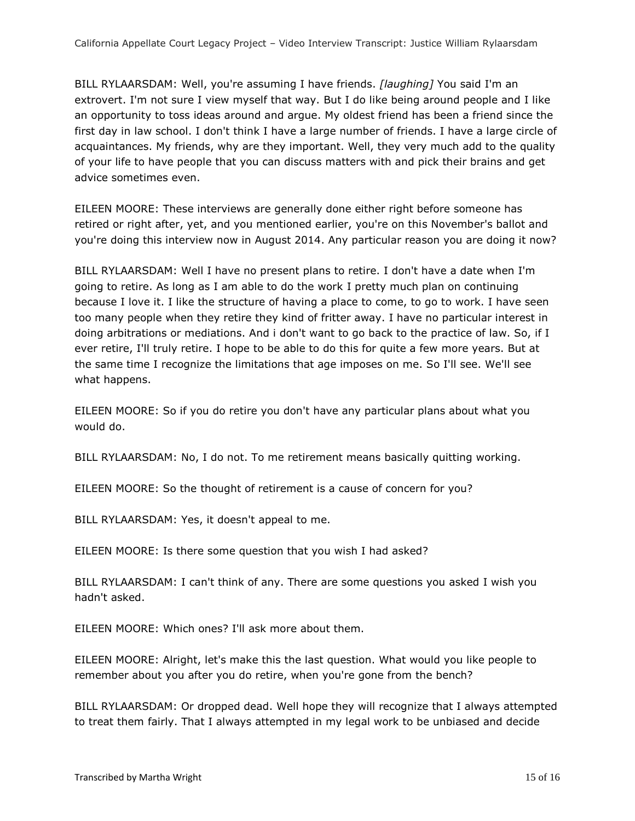BILL RYLAARSDAM: Well, you're assuming I have friends. *[laughing]* You said I'm an extrovert. I'm not sure I view myself that way. But I do like being around people and I like an opportunity to toss ideas around and argue. My oldest friend has been a friend since the first day in law school. I don't think I have a large number of friends. I have a large circle of acquaintances. My friends, why are they important. Well, they very much add to the quality of your life to have people that you can discuss matters with and pick their brains and get advice sometimes even.

EILEEN MOORE: These interviews are generally done either right before someone has retired or right after, yet, and you mentioned earlier, you're on this November's ballot and you're doing this interview now in August 2014. Any particular reason you are doing it now?

BILL RYLAARSDAM: Well I have no present plans to retire. I don't have a date when I'm going to retire. As long as I am able to do the work I pretty much plan on continuing because I love it. I like the structure of having a place to come, to go to work. I have seen too many people when they retire they kind of fritter away. I have no particular interest in doing arbitrations or mediations. And i don't want to go back to the practice of law. So, if I ever retire, I'll truly retire. I hope to be able to do this for quite a few more years. But at the same time I recognize the limitations that age imposes on me. So I'll see. We'll see what happens.

EILEEN MOORE: So if you do retire you don't have any particular plans about what you would do.

BILL RYLAARSDAM: No, I do not. To me retirement means basically quitting working.

EILEEN MOORE: So the thought of retirement is a cause of concern for you?

BILL RYLAARSDAM: Yes, it doesn't appeal to me.

EILEEN MOORE: Is there some question that you wish I had asked?

BILL RYLAARSDAM: I can't think of any. There are some questions you asked I wish you hadn't asked.

EILEEN MOORE: Which ones? I'll ask more about them.

EILEEN MOORE: Alright, let's make this the last question. What would you like people to remember about you after you do retire, when you're gone from the bench?

BILL RYLAARSDAM: Or dropped dead. Well hope they will recognize that I always attempted to treat them fairly. That I always attempted in my legal work to be unbiased and decide